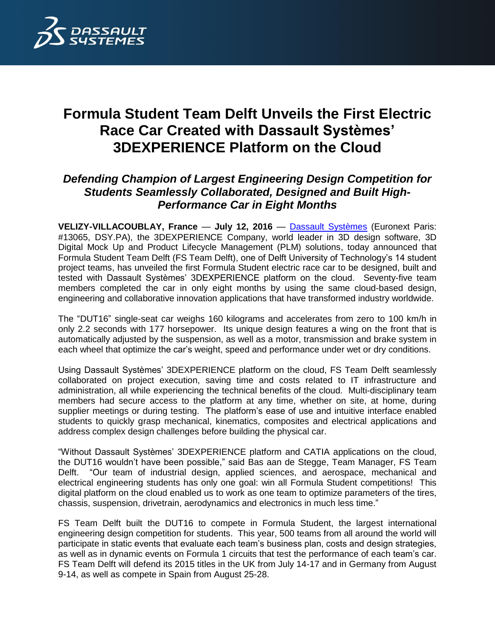

## **Formula Student Team Delft Unveils the First Electric Race Car Created with Dassault Systèmes' 3DEXPERIENCE Platform on the Cloud**

## *Defending Champion of Largest Engineering Design Competition for Students Seamlessly Collaborated, Designed and Built High-Performance Car in Eight Months*

**VELIZY-VILLACOUBLAY, France** — **July 12, 2016** — [Dassault Systèmes](http://www.3ds.com/) (Euronext Paris: #13065, DSY.PA), the 3DEXPERIENCE Company, world leader in 3D design software, 3D Digital Mock Up and Product Lifecycle Management (PLM) solutions, today announced that Formula Student Team Delft (FS Team Delft), one of Delft University of Technology's 14 student project teams, has unveiled the first Formula Student electric race car to be designed, built and tested with Dassault Systèmes' 3DEXPERIENCE platform on the cloud. Seventy-five team members completed the car in only eight months by using the same cloud-based design, engineering and collaborative innovation applications that have transformed industry worldwide.

The "DUT16" single-seat car weighs 160 kilograms and accelerates from zero to 100 km/h in only 2.2 seconds with 177 horsepower. Its unique design features a wing on the front that is automatically adjusted by the suspension, as well as a motor, transmission and brake system in each wheel that optimize the car's weight, speed and performance under wet or dry conditions.

Using Dassault Systèmes' 3DEXPERIENCE platform on the cloud, FS Team Delft seamlessly collaborated on project execution, saving time and costs related to IT infrastructure and administration, all while experiencing the technical benefits of the cloud. Multi-disciplinary team members had secure access to the platform at any time, whether on site, at home, during supplier meetings or during testing. The platform's ease of use and intuitive interface enabled students to quickly grasp mechanical, kinematics, composites and electrical applications and address complex design challenges before building the physical car.

"Without Dassault Systèmes' 3DEXPERIENCE platform and CATIA applications on the cloud, the DUT16 wouldn't have been possible," said Bas aan de Stegge, Team Manager, FS Team Delft. "Our team of industrial design, applied sciences, and aerospace, mechanical and electrical engineering students has only one goal: win all Formula Student competitions! This digital platform on the cloud enabled us to work as one team to optimize parameters of the tires, chassis, suspension, drivetrain, aerodynamics and electronics in much less time."

FS Team Delft built the DUT16 to compete in Formula Student, the largest international engineering design competition for students. This year, 500 teams from all around the world will participate in static events that evaluate each team's business plan, costs and design strategies, as well as in dynamic events on Formula 1 circuits that test the performance of each team's car. FS Team Delft will defend its 2015 titles in the UK from July 14-17 and in Germany from August 9-14, as well as compete in Spain from August 25-28.